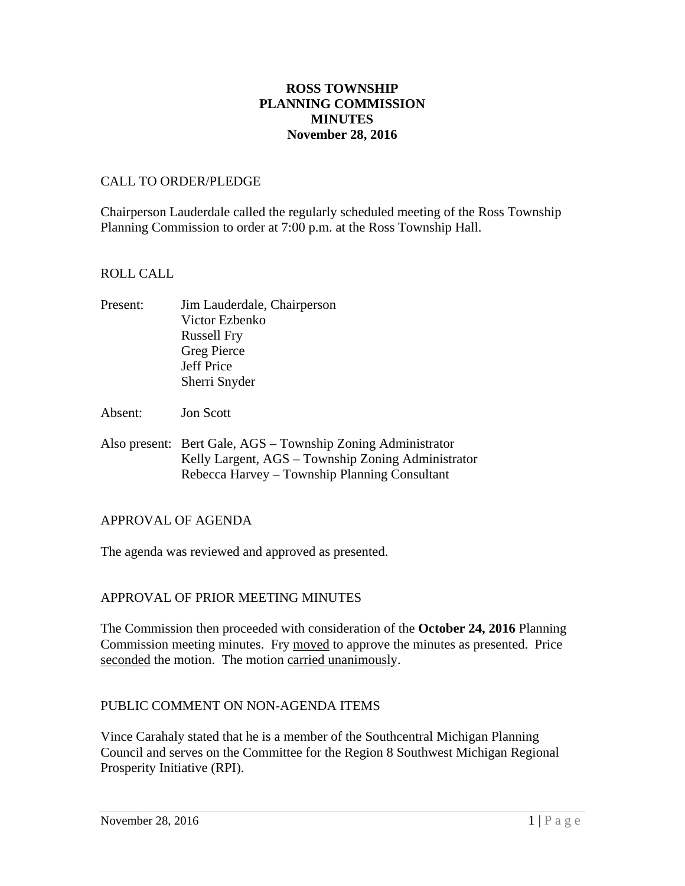## **ROSS TOWNSHIP PLANNING COMMISSION MINUTES November 28, 2016**

### CALL TO ORDER/PLEDGE

Chairperson Lauderdale called the regularly scheduled meeting of the Ross Township Planning Commission to order at 7:00 p.m. at the Ross Township Hall.

### ROLL CALL

| Present: | Jim Lauderdale, Chairperson |
|----------|-----------------------------|
|          | Victor Ezbenko              |
|          | <b>Russell Fry</b>          |
|          | <b>Greg Pierce</b>          |
|          | Jeff Price                  |
|          | Sherri Snyder               |

- Absent: Jon Scott
- Also present: Bert Gale, AGS Township Zoning Administrator Kelly Largent, AGS – Township Zoning Administrator Rebecca Harvey – Township Planning Consultant

#### APPROVAL OF AGENDA

The agenda was reviewed and approved as presented.

## APPROVAL OF PRIOR MEETING MINUTES

The Commission then proceeded with consideration of the **October 24, 2016** Planning Commission meeting minutes. Fry moved to approve the minutes as presented. Price seconded the motion. The motion carried unanimously.

#### PUBLIC COMMENT ON NON-AGENDA ITEMS

Vince Carahaly stated that he is a member of the Southcentral Michigan Planning Council and serves on the Committee for the Region 8 Southwest Michigan Regional Prosperity Initiative (RPI).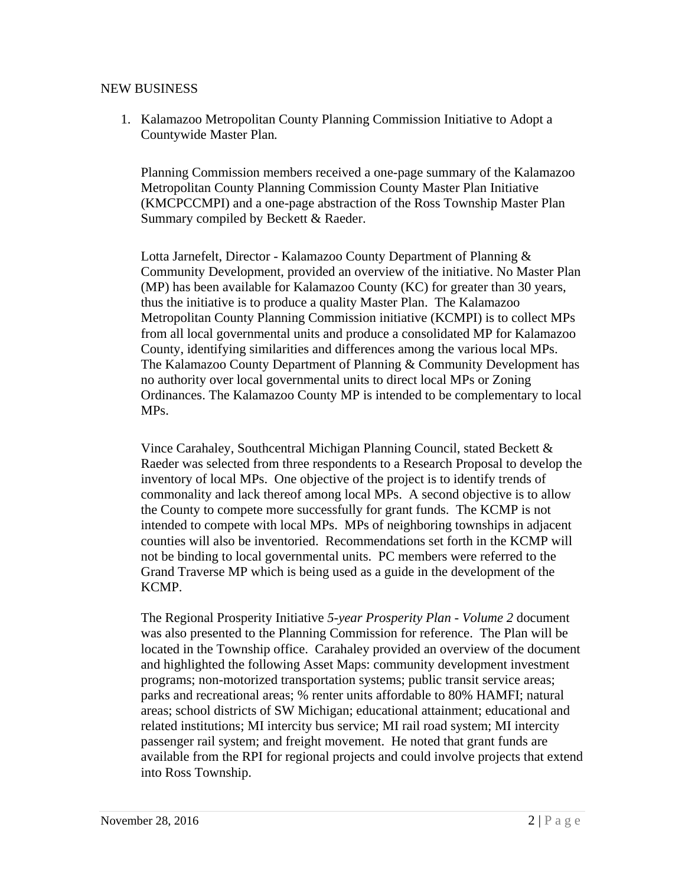#### NEW BUSINESS

1. Kalamazoo Metropolitan County Planning Commission Initiative to Adopt a Countywide Master Plan*.*

Planning Commission members received a one-page summary of the Kalamazoo Metropolitan County Planning Commission County Master Plan Initiative (KMCPCCMPI) and a one-page abstraction of the Ross Township Master Plan Summary compiled by Beckett & Raeder.

Lotta Jarnefelt, Director - Kalamazoo County Department of Planning & Community Development, provided an overview of the initiative. No Master Plan (MP) has been available for Kalamazoo County (KC) for greater than 30 years, thus the initiative is to produce a quality Master Plan. The Kalamazoo Metropolitan County Planning Commission initiative (KCMPI) is to collect MPs from all local governmental units and produce a consolidated MP for Kalamazoo County, identifying similarities and differences among the various local MPs. The Kalamazoo County Department of Planning & Community Development has no authority over local governmental units to direct local MPs or Zoning Ordinances. The Kalamazoo County MP is intended to be complementary to local MPs.

Vince Carahaley, Southcentral Michigan Planning Council, stated Beckett & Raeder was selected from three respondents to a Research Proposal to develop the inventory of local MPs. One objective of the project is to identify trends of commonality and lack thereof among local MPs. A second objective is to allow the County to compete more successfully for grant funds. The KCMP is not intended to compete with local MPs. MPs of neighboring townships in adjacent counties will also be inventoried. Recommendations set forth in the KCMP will not be binding to local governmental units. PC members were referred to the Grand Traverse MP which is being used as a guide in the development of the KCMP.

The Regional Prosperity Initiative *5-year Prosperity Plan - Volume 2* document was also presented to the Planning Commission for reference. The Plan will be located in the Township office. Carahaley provided an overview of the document and highlighted the following Asset Maps: community development investment programs; non-motorized transportation systems; public transit service areas; parks and recreational areas; % renter units affordable to 80% HAMFI; natural areas; school districts of SW Michigan; educational attainment; educational and related institutions; MI intercity bus service; MI rail road system; MI intercity passenger rail system; and freight movement. He noted that grant funds are available from the RPI for regional projects and could involve projects that extend into Ross Township.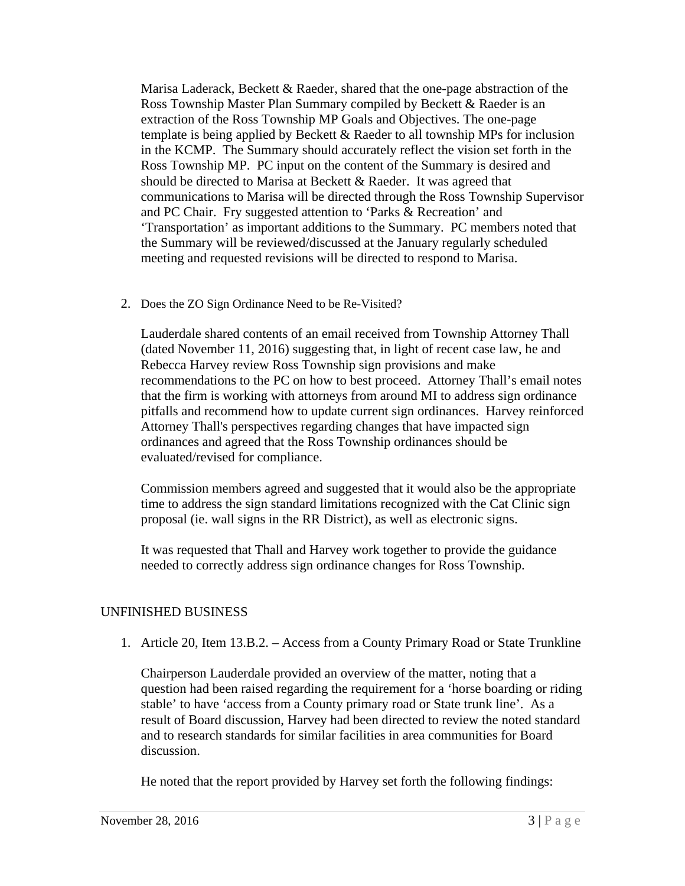Marisa Laderack, Beckett & Raeder, shared that the one-page abstraction of the Ross Township Master Plan Summary compiled by Beckett & Raeder is an extraction of the Ross Township MP Goals and Objectives. The one-page template is being applied by Beckett & Raeder to all township MPs for inclusion in the KCMP. The Summary should accurately reflect the vision set forth in the Ross Township MP. PC input on the content of the Summary is desired and should be directed to Marisa at Beckett & Raeder. It was agreed that communications to Marisa will be directed through the Ross Township Supervisor and PC Chair. Fry suggested attention to 'Parks & Recreation' and 'Transportation' as important additions to the Summary. PC members noted that the Summary will be reviewed/discussed at the January regularly scheduled meeting and requested revisions will be directed to respond to Marisa.

2. Does the ZO Sign Ordinance Need to be Re-Visited?

Lauderdale shared contents of an email received from Township Attorney Thall (dated November 11, 2016) suggesting that, in light of recent case law, he and Rebecca Harvey review Ross Township sign provisions and make recommendations to the PC on how to best proceed. Attorney Thall's email notes that the firm is working with attorneys from around MI to address sign ordinance pitfalls and recommend how to update current sign ordinances. Harvey reinforced Attorney Thall's perspectives regarding changes that have impacted sign ordinances and agreed that the Ross Township ordinances should be evaluated/revised for compliance.

Commission members agreed and suggested that it would also be the appropriate time to address the sign standard limitations recognized with the Cat Clinic sign proposal (ie. wall signs in the RR District), as well as electronic signs.

It was requested that Thall and Harvey work together to provide the guidance needed to correctly address sign ordinance changes for Ross Township.

# UNFINISHED BUSINESS

1. Article 20, Item 13.B.2. – Access from a County Primary Road or State Trunkline

Chairperson Lauderdale provided an overview of the matter, noting that a question had been raised regarding the requirement for a 'horse boarding or riding stable' to have 'access from a County primary road or State trunk line'. As a result of Board discussion, Harvey had been directed to review the noted standard and to research standards for similar facilities in area communities for Board discussion.

He noted that the report provided by Harvey set forth the following findings: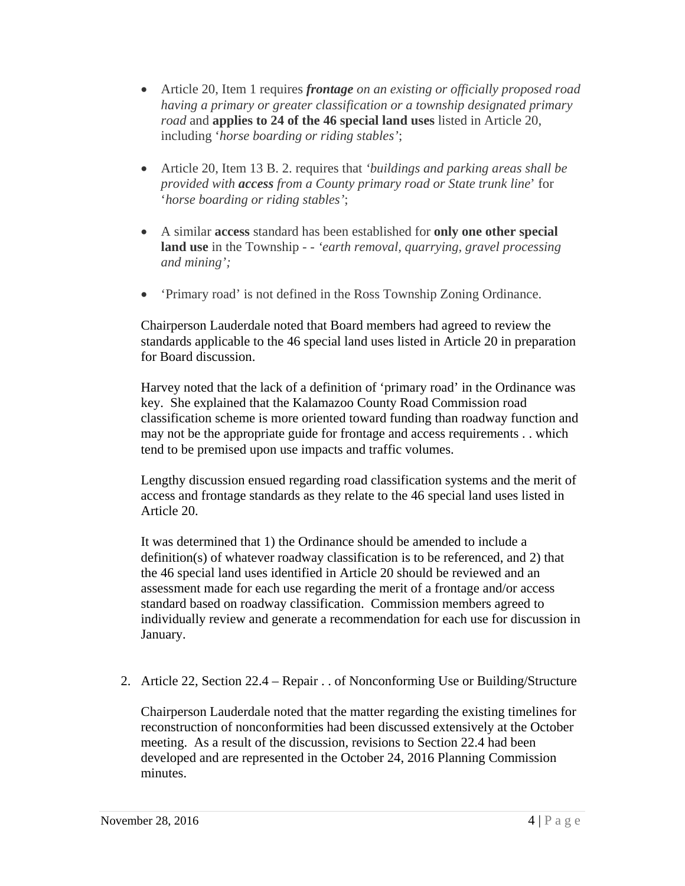- Article 20, Item 1 requires *frontage on an existing or officially proposed road having a primary or greater classification or a township designated primary road* and **applies to 24 of the 46 special land uses** listed in Article 20, including '*horse boarding or riding stables'*;
- Article 20, Item 13 B. 2. requires that *'buildings and parking areas shall be provided with access from a County primary road or State trunk line*' for '*horse boarding or riding stables'*;
- A similar **access** standard has been established for **only one other special land use** in the Township - - *'earth removal, quarrying, gravel processing and mining';*
- 'Primary road' is not defined in the Ross Township Zoning Ordinance.

Chairperson Lauderdale noted that Board members had agreed to review the standards applicable to the 46 special land uses listed in Article 20 in preparation for Board discussion.

Harvey noted that the lack of a definition of 'primary road' in the Ordinance was key. She explained that the Kalamazoo County Road Commission road classification scheme is more oriented toward funding than roadway function and may not be the appropriate guide for frontage and access requirements . . which tend to be premised upon use impacts and traffic volumes.

Lengthy discussion ensued regarding road classification systems and the merit of access and frontage standards as they relate to the 46 special land uses listed in Article 20.

It was determined that 1) the Ordinance should be amended to include a definition(s) of whatever roadway classification is to be referenced, and 2) that the 46 special land uses identified in Article 20 should be reviewed and an assessment made for each use regarding the merit of a frontage and/or access standard based on roadway classification. Commission members agreed to individually review and generate a recommendation for each use for discussion in January.

2. Article 22, Section 22.4 – Repair . . of Nonconforming Use or Building/Structure

Chairperson Lauderdale noted that the matter regarding the existing timelines for reconstruction of nonconformities had been discussed extensively at the October meeting. As a result of the discussion, revisions to Section 22.4 had been developed and are represented in the October 24, 2016 Planning Commission minutes.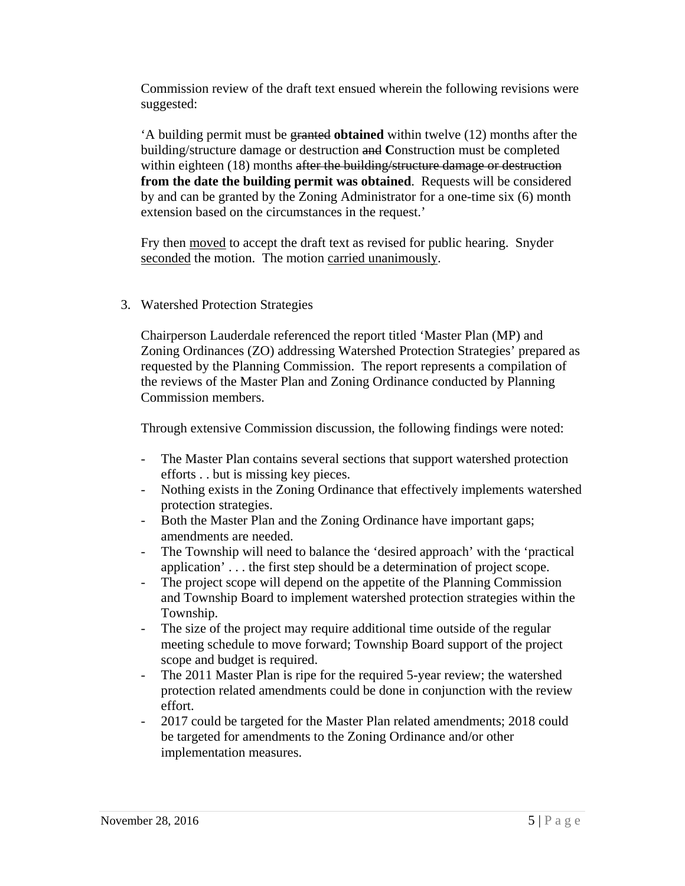Commission review of the draft text ensued wherein the following revisions were suggested:

'A building permit must be granted **obtained** within twelve (12) months after the building/structure damage or destruction and **C**onstruction must be completed within eighteen (18) months after the building/structure damage or destruction **from the date the building permit was obtained**. Requests will be considered by and can be granted by the Zoning Administrator for a one-time six (6) month extension based on the circumstances in the request.'

Fry then moved to accept the draft text as revised for public hearing. Snyder seconded the motion. The motion carried unanimously.

## 3. Watershed Protection Strategies

Chairperson Lauderdale referenced the report titled 'Master Plan (MP) and Zoning Ordinances (ZO) addressing Watershed Protection Strategies' prepared as requested by the Planning Commission. The report represents a compilation of the reviews of the Master Plan and Zoning Ordinance conducted by Planning Commission members.

Through extensive Commission discussion, the following findings were noted:

- The Master Plan contains several sections that support watershed protection efforts . . but is missing key pieces.
- Nothing exists in the Zoning Ordinance that effectively implements watershed protection strategies.
- Both the Master Plan and the Zoning Ordinance have important gaps; amendments are needed.
- The Township will need to balance the 'desired approach' with the 'practical application' . . . the first step should be a determination of project scope.
- The project scope will depend on the appetite of the Planning Commission and Township Board to implement watershed protection strategies within the Township.
- The size of the project may require additional time outside of the regular meeting schedule to move forward; Township Board support of the project scope and budget is required.
- The 2011 Master Plan is ripe for the required 5-year review; the watershed protection related amendments could be done in conjunction with the review effort.
- 2017 could be targeted for the Master Plan related amendments; 2018 could be targeted for amendments to the Zoning Ordinance and/or other implementation measures.